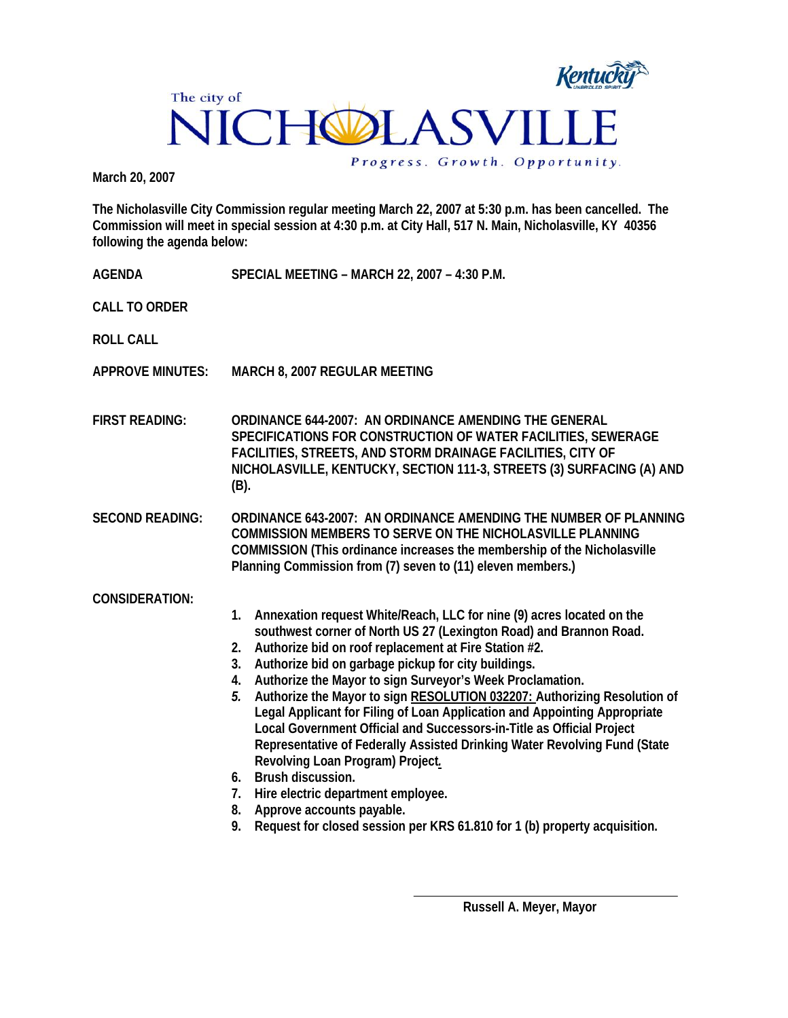

**March 20, 2007** 

**The Nicholasville City Commission regular meeting March 22, 2007 at 5:30 p.m. has been cancelled. The Commission will meet in special session at 4:30 p.m. at City Hall, 517 N. Main, Nicholasville, KY 40356 following the agenda below:** 

| AGENDA                  | SPECIAL MEETING - MARCH 22, 2007 - 4:30 P.M.                                                                                                                                                                                                                                                                                                                                                                                                                                                                                                                                                                                                                                                                                                                                                                                                                                                        |
|-------------------------|-----------------------------------------------------------------------------------------------------------------------------------------------------------------------------------------------------------------------------------------------------------------------------------------------------------------------------------------------------------------------------------------------------------------------------------------------------------------------------------------------------------------------------------------------------------------------------------------------------------------------------------------------------------------------------------------------------------------------------------------------------------------------------------------------------------------------------------------------------------------------------------------------------|
| <b>CALL TO ORDER</b>    |                                                                                                                                                                                                                                                                                                                                                                                                                                                                                                                                                                                                                                                                                                                                                                                                                                                                                                     |
| <b>ROLL CALL</b>        |                                                                                                                                                                                                                                                                                                                                                                                                                                                                                                                                                                                                                                                                                                                                                                                                                                                                                                     |
| <b>APPROVE MINUTES:</b> | MARCH 8, 2007 REGULAR MEETING                                                                                                                                                                                                                                                                                                                                                                                                                                                                                                                                                                                                                                                                                                                                                                                                                                                                       |
| <b>FIRST READING:</b>   | <b>ORDINANCE 644-2007: AN ORDINANCE AMENDING THE GENERAL</b><br>SPECIFICATIONS FOR CONSTRUCTION OF WATER FACILITIES, SEWERAGE<br>FACILITIES, STREETS, AND STORM DRAINAGE FACILITIES, CITY OF<br>NICHOLASVILLE, KENTUCKY, SECTION 111-3, STREETS (3) SURFACING (A) AND<br>$(B)$ .                                                                                                                                                                                                                                                                                                                                                                                                                                                                                                                                                                                                                    |
| <b>SECOND READING:</b>  | <b>ORDINANCE 643-2007: AN ORDINANCE AMENDING THE NUMBER OF PLANNING</b><br>COMMISSION MEMBERS TO SERVE ON THE NICHOLASVILLE PLANNING<br>COMMISSION (This ordinance increases the membership of the Nicholasville<br>Planning Commission from (7) seven to (11) eleven members.)                                                                                                                                                                                                                                                                                                                                                                                                                                                                                                                                                                                                                     |
| <b>CONSIDERATION:</b>   | Annexation request White/Reach, LLC for nine (9) acres located on the<br>1.<br>southwest corner of North US 27 (Lexington Road) and Brannon Road.<br>Authorize bid on roof replacement at Fire Station #2.<br>2.<br>Authorize bid on garbage pickup for city buildings.<br>3.<br>Authorize the Mayor to sign Surveyor's Week Proclamation.<br>4.<br>Authorize the Mayor to sign RESOLUTION 032207: Authorizing Resolution of<br>5.<br>Legal Applicant for Filing of Loan Application and Appointing Appropriate<br>Local Government Official and Successors-in-Title as Official Project<br>Representative of Federally Assisted Drinking Water Revolving Fund (State<br>Revolving Loan Program) Project.<br>6. Brush discussion.<br>Hire electric department employee.<br>7.<br>Approve accounts payable.<br>8.<br>Request for closed session per KRS 61.810 for 1 (b) property acquisition.<br>9. |